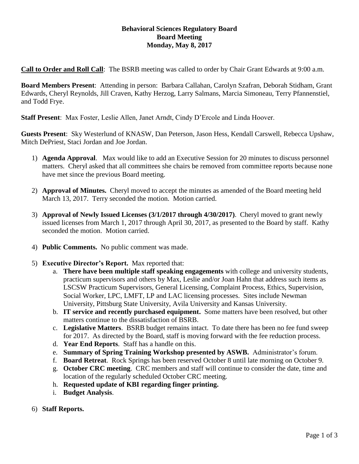## **Behavioral Sciences Regulatory Board Board Meeting Monday, May 8, 2017**

**Call to Order and Roll Call**: The BSRB meeting was called to order by Chair Grant Edwards at 9:00 a.m.

**Board Members Present**: Attending in person: Barbara Callahan, Carolyn Szafran, Deborah Stidham, Grant Edwards, Cheryl Reynolds, Jill Craven, Kathy Herzog, Larry Salmans, Marcia Simoneau, Terry Pfannenstiel, and Todd Frye.

**Staff Present**: Max Foster, Leslie Allen, Janet Arndt, Cindy D'Ercole and Linda Hoover.

**Guests Present**: Sky Westerlund of KNASW, Dan Peterson, Jason Hess, Kendall Carswell, Rebecca Upshaw, Mitch DePriest, Staci Jordan and Joe Jordan.

- 1) **Agenda Approval**. Max would like to add an Executive Session for 20 minutes to discuss personnel matters. Cheryl asked that all committees she chairs be removed from committee reports because none have met since the previous Board meeting.
- 2) **Approval of Minutes.** Cheryl moved to accept the minutes as amended of the Board meeting held March 13, 2017. Terry seconded the motion. Motion carried.
- 3) **Approval of Newly Issued Licenses (3/1/2017 through 4/30/2017)**. Cheryl moved to grant newly issued licenses from March 1, 2017 through April 30, 2017, as presented to the Board by staff. Kathy seconded the motion. Motion carried.
- 4) **Public Comments.** No public comment was made.
- 5) **Executive Director's Report.** Max reported that:
	- a. **There have been multiple staff speaking engagements** with college and university students, practicum supervisors and others by Max, Leslie and/or Joan Hahn that address such items as LSCSW Practicum Supervisors, General Licensing, Complaint Process, Ethics, Supervision, Social Worker, LPC, LMFT, LP and LAC licensing processes. Sites include Newman University, Pittsburg State University, Avila University and Kansas University.
	- b. **IT service and recently purchased equipment.** Some matters have been resolved, but other matters continue to the dissatisfaction of BSRB.
	- c. **Legislative Matters**. BSRB budget remains intact. To date there has been no fee fund sweep for 2017. As directed by the Board, staff is moving forward with the fee reduction process.
	- d. **Year End Reports**. Staff has a handle on this.
	- e. **Summary of Spring Training Workshop presented by ASWB.** Administrator's forum.
	- f. **Board Retreat**. Rock Springs has been reserved October 8 until late morning on October 9.
	- g. **October CRC meeting**. CRC members and staff will continue to consider the date, time and location of the regularly scheduled October CRC meeting.
	- h. **Requested update of KBI regarding finger printing.**
	- i. **Budget Analysis**.
- 6) **Staff Reports.**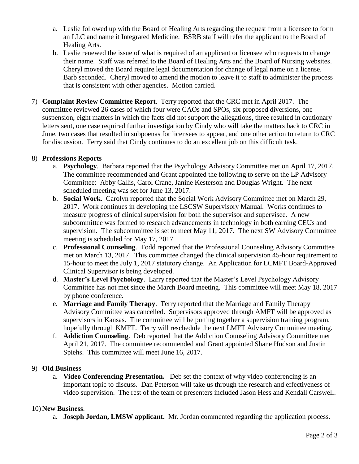- a. Leslie followed up with the Board of Healing Arts regarding the request from a licensee to form an LLC and name it Integrated Medicine. BSRB staff will refer the applicant to the Board of Healing Arts.
- b. Leslie renewed the issue of what is required of an applicant or licensee who requests to change their name. Staff was referred to the Board of Healing Arts and the Board of Nursing websites. Cheryl moved the Board require legal documentation for change of legal name on a license. Barb seconded. Cheryl moved to amend the motion to leave it to staff to administer the process that is consistent with other agencies. Motion carried.
- 7) **Complaint Review Committee Report**. Terry reported that the CRC met in April 2017. The committee reviewed 26 cases of which four were CAOs and SPOs, six proposed diversions, one suspension, eight matters in which the facts did not support the allegations, three resulted in cautionary letters sent, one case required further investigation by Cindy who will take the matters back to CRC in June, two cases that resulted in subpoenas for licensees to appear, and one other action to return to CRC for discussion. Terry said that Cindy continues to do an excellent job on this difficult task.

## 8) **Professions Reports**

- a. **Psychology**. Barbara reported that the Psychology Advisory Committee met on April 17, 2017. The committee recommended and Grant appointed the following to serve on the LP Advisory Committee: Abby Callis, Carol Crane, Janine Kesterson and Douglas Wright. The next scheduled meeting was set for June 13, 2017.
- b. **Social Work**.Carolyn reported that the Social Work Advisory Committee met on March 29, 2017. Work continues in developing the LSCSW Supervisory Manual. Works continues to measure progress of clinical supervision for both the supervisor and supervisee. A new subcommittee was formed to research advancements in technology in both earning CEUs and supervision. The subcommittee is set to meet May 11, 2017. The next SW Advisory Committee meeting is scheduled for May 17, 2017.
- c. **Professional Counseling**. Todd reported that the Professional Counseling Advisory Committee met on March 13, 2017. This committee changed the clinical supervision 45-hour requirement to 15-hour to meet the July 1, 2017 statutory change. An Application for LCMFT Board-Approved Clinical Supervisor is being developed.
- d. **Master's Level Psychology**.Larry reported that the Master's Level Psychology Advisory Committee has not met since the March Board meeting. This committee will meet May 18, 2017 by phone conference.
- e. **Marriage and Family Therapy**. Terry reported that the Marriage and Family Therapy Advisory Committee was cancelled. Supervisors approved through AMFT will be approved as supervisors in Kansas. The committee will be putting together a supervision training program, hopefully through KMFT. Terry will reschedule the next LMFT Advisory Committee meeting.
- f. **Addiction Counseling**. Deb reported that the Addiction Counseling Advisory Committee met April 21, 2017. The committee recommended and Grant appointed Shane Hudson and Justin Spiehs. This committee will meet June 16, 2017.

## 9) **Old Business**

a. **Video Conferencing Presentation.** Deb set the context of why video conferencing is an important topic to discuss. Dan Peterson will take us through the research and effectiveness of video supervision. The rest of the team of presenters included Jason Hess and Kendall Carswell.

## 10) **New Business**.

a. **Joseph Jordan, LMSW applicant.** Mr. Jordan commented regarding the application process.